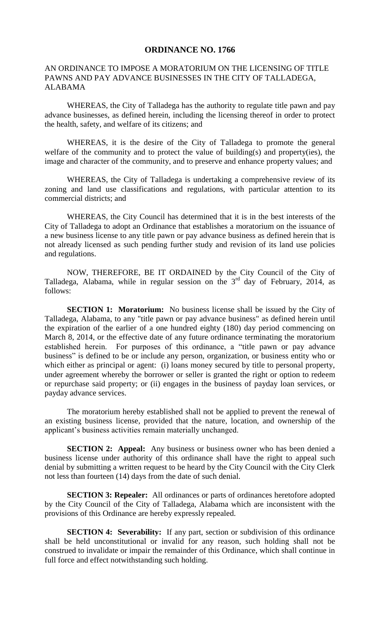## **ORDINANCE NO. 1766**

## AN ORDINANCE TO IMPOSE A MORATORIUM ON THE LICENSING OF TITLE PAWNS AND PAY ADVANCE BUSINESSES IN THE CITY OF TALLADEGA, ALABAMA

WHEREAS, the City of Talladega has the authority to regulate title pawn and pay advance businesses, as defined herein, including the licensing thereof in order to protect the health, safety, and welfare of its citizens; and

WHEREAS, it is the desire of the City of Talladega to promote the general welfare of the community and to protect the value of building(s) and property(ies), the image and character of the community, and to preserve and enhance property values; and

WHEREAS, the City of Talladega is undertaking a comprehensive review of its zoning and land use classifications and regulations, with particular attention to its commercial districts; and

WHEREAS, the City Council has determined that it is in the best interests of the City of Talladega to adopt an Ordinance that establishes a moratorium on the issuance of a new business license to any title pawn or pay advance business as defined herein that is not already licensed as such pending further study and revision of its land use policies and regulations.

NOW, THEREFORE, BE IT ORDAINED by the City Council of the City of Talladega, Alabama, while in regular session on the 3<sup>rd</sup> day of February, 2014, as follows:

**SECTION 1: Moratorium:** No business license shall be issued by the City of Talladega, Alabama, to any "title pawn or pay advance business" as defined herein until the expiration of the earlier of a one hundred eighty (180) day period commencing on March 8, 2014, or the effective date of any future ordinance terminating the moratorium established herein. For purposes of this ordinance, a "title pawn or pay advance business" is defined to be or include any person, organization, or business entity who or which either as principal or agent: (i) loans money secured by title to personal property, under agreement whereby the borrower or seller is granted the right or option to redeem or repurchase said property; or (ii) engages in the business of payday loan services, or payday advance services.

The moratorium hereby established shall not be applied to prevent the renewal of an existing business license, provided that the nature, location, and ownership of the applicant's business activities remain materially unchanged.

**SECTION 2: Appeal:** Any business or business owner who has been denied a business license under authority of this ordinance shall have the right to appeal such denial by submitting a written request to be heard by the City Council with the City Clerk not less than fourteen (14) days from the date of such denial.

**SECTION 3: Repealer:** All ordinances or parts of ordinances heretofore adopted by the City Council of the City of Talladega, Alabama which are inconsistent with the provisions of this Ordinance are hereby expressly repealed.

**SECTION 4: Severability:** If any part, section or subdivision of this ordinance shall be held unconstitutional or invalid for any reason, such holding shall not be construed to invalidate or impair the remainder of this Ordinance, which shall continue in full force and effect notwithstanding such holding.